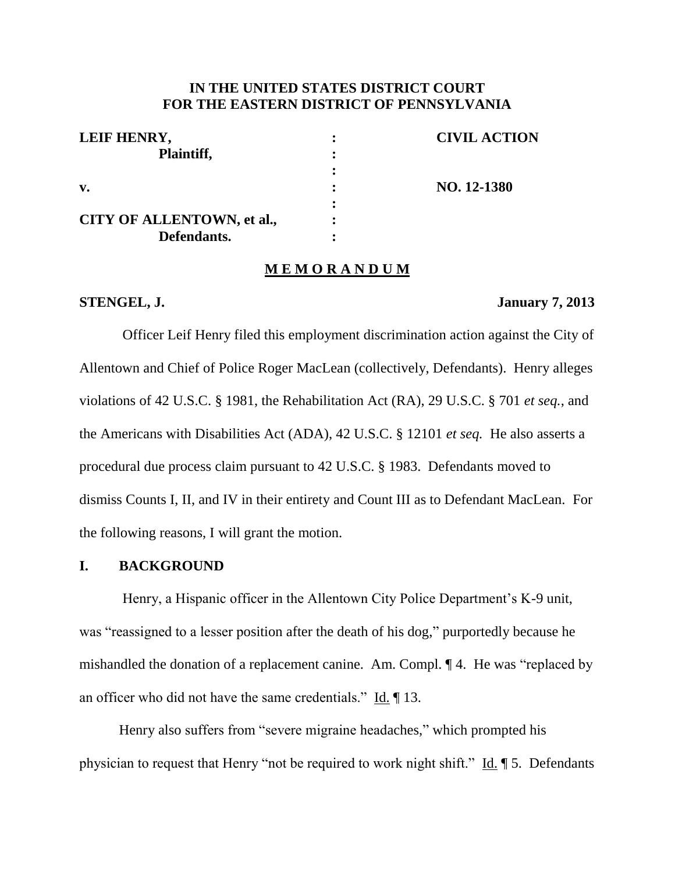# **IN THE UNITED STATES DISTRICT COURT FOR THE EASTERN DISTRICT OF PENNSYLVANIA**

| LEIF HENRY,                | <b>CIVIL ACTION</b> |
|----------------------------|---------------------|
| Plaintiff,                 |                     |
|                            |                     |
| $\mathbf{v}$ .             | NO. 12-1380         |
|                            |                     |
| CITY OF ALLENTOWN, et al., |                     |
| Defendants.                |                     |

## **M E M O R A N D U M**

#### **STENGEL, J. January 7, 2013**

Officer Leif Henry filed this employment discrimination action against the City of Allentown and Chief of Police Roger MacLean (collectively, Defendants). Henry alleges violations of 42 U.S.C. § 1981, the Rehabilitation Act (RA), 29 U.S.C. § 701 *et seq.*, and the Americans with Disabilities Act (ADA), 42 U.S.C. § 12101 *et seq.* He also asserts a procedural due process claim pursuant to 42 U.S.C. § 1983. Defendants moved to dismiss Counts I, II, and IV in their entirety and Count III as to Defendant MacLean. For the following reasons, I will grant the motion.

## **I. BACKGROUND**

Henry, a Hispanic officer in the Allentown City Police Department's K-9 unit, was "reassigned to a lesser position after the death of his dog," purportedly because he mishandled the donation of a replacement canine. Am. Compl. ¶ 4. He was "replaced by an officer who did not have the same credentials." Id. ¶ 13.

Henry also suffers from "severe migraine headaches," which prompted his physician to request that Henry "not be required to work night shift." Id. ¶ 5. Defendants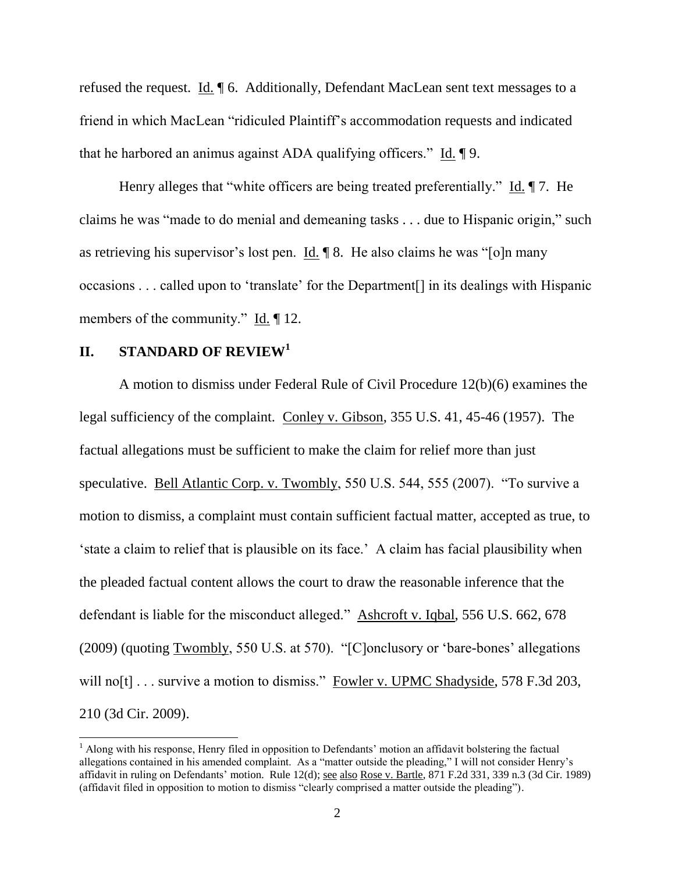refused the request. Id. ¶ 6. Additionally, Defendant MacLean sent text messages to a friend in which MacLean "ridiculed Plaintiff's accommodation requests and indicated that he harbored an animus against ADA qualifying officers." Id. ¶ 9.

Henry alleges that "white officers are being treated preferentially." Id. ¶ 7. He claims he was "made to do menial and demeaning tasks . . . due to Hispanic origin," such as retrieving his supervisor's lost pen. Id. ¶ 8. He also claims he was "[o]n many occasions . . . called upon to 'translate' for the Department[] in its dealings with Hispanic members of the community."  $\underline{Id}$ .  $\P$  12.

### **II. STANDARD OF REVIEW<sup>1</sup>**

 $\overline{a}$ 

A motion to dismiss under Federal Rule of Civil Procedure 12(b)(6) examines the legal sufficiency of the complaint. Conley v. Gibson, 355 U.S. 41, 45-46 (1957). The factual allegations must be sufficient to make the claim for relief more than just speculative. Bell Atlantic Corp. v. Twombly, 550 U.S. 544, 555 (2007). "To survive a motion to dismiss, a complaint must contain sufficient factual matter, accepted as true, to 'state a claim to relief that is plausible on its face.' A claim has facial plausibility when the pleaded factual content allows the court to draw the reasonable inference that the defendant is liable for the misconduct alleged." Ashcroft v. Iqbal, 556 U.S. 662, 678 (2009) (quoting Twombly, 550 U.S. at 570). "[C]onclusory or 'bare-bones' allegations will no[t] . . . survive a motion to dismiss." Fowler v. UPMC Shadyside, 578 F.3d 203, 210 (3d Cir. 2009).

<sup>&</sup>lt;sup>1</sup> Along with his response, Henry filed in opposition to Defendants' motion an affidavit bolstering the factual allegations contained in his amended complaint. As a "matter outside the pleading," I will not consider Henry's affidavit in ruling on Defendants' motion. Rule 12(d); see also Rose v. Bartle, 871 F.2d 331, 339 n.3 (3d Cir. 1989) (affidavit filed in opposition to motion to dismiss "clearly comprised a matter outside the pleading").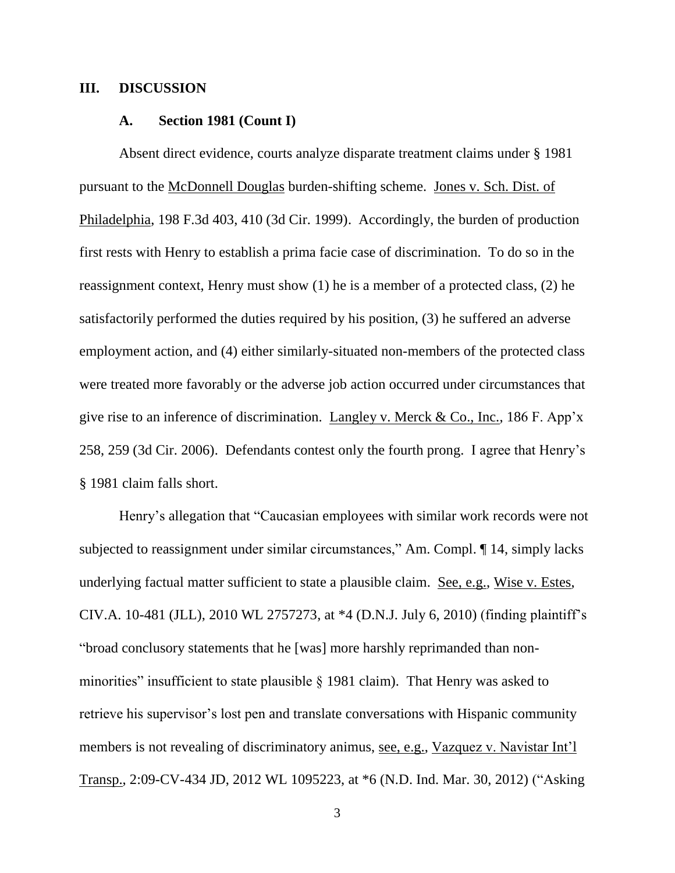## **III. DISCUSSION**

#### **A. Section 1981 (Count I)**

Absent direct evidence, courts analyze disparate treatment claims under § 1981 pursuant to the McDonnell Douglas burden-shifting scheme. Jones v. Sch. Dist. of Philadelphia, 198 F.3d 403, 410 (3d Cir. 1999). Accordingly, the burden of production first rests with Henry to establish a prima facie case of discrimination. To do so in the reassignment context, Henry must show (1) he is a member of a protected class, (2) he satisfactorily performed the duties required by his position, (3) he suffered an adverse employment action, and (4) either similarly-situated non-members of the protected class were treated more favorably or the adverse job action occurred under circumstances that give rise to an inference of discrimination. Langley v. Merck & Co., Inc., 186 F. App'x 258, 259 (3d Cir. 2006). Defendants contest only the fourth prong. I agree that Henry's § 1981 claim falls short.

Henry's allegation that "Caucasian employees with similar work records were not subjected to reassignment under similar circumstances," Am. Compl. ¶ 14, simply lacks underlying factual matter sufficient to state a plausible claim. See, e.g., Wise v. Estes, CIV.A. 10-481 (JLL), 2010 WL 2757273, at \*4 (D.N.J. July 6, 2010) (finding plaintiff's "broad conclusory statements that he [was] more harshly reprimanded than nonminorities" insufficient to state plausible § 1981 claim). That Henry was asked to retrieve his supervisor's lost pen and translate conversations with Hispanic community members is not revealing of discriminatory animus, see, e.g., Vazquez v. Navistar Int'l Transp., 2:09-CV-434 JD, 2012 WL 1095223, at \*6 (N.D. Ind. Mar. 30, 2012) ("Asking

3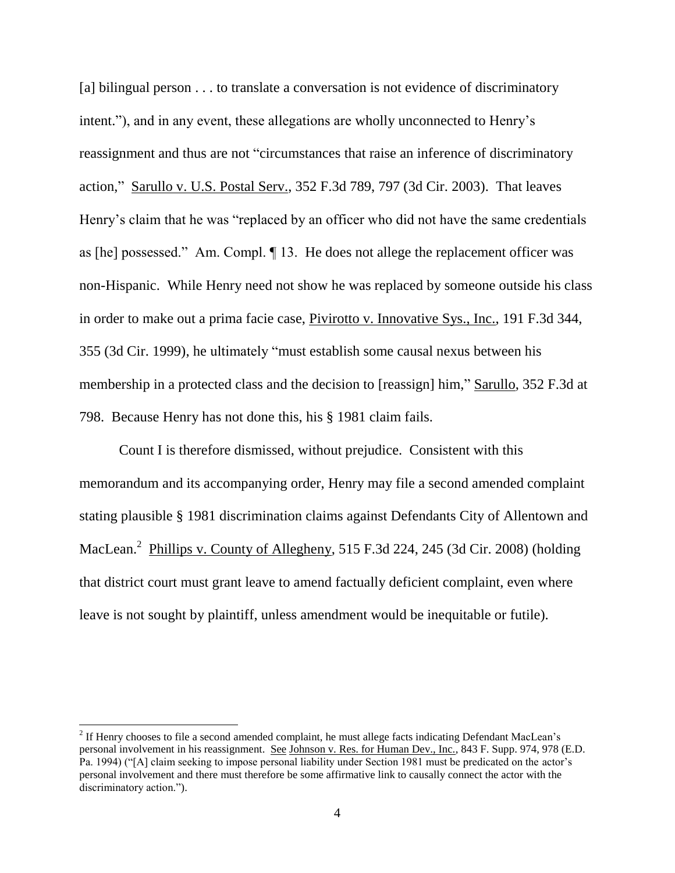[a] bilingual person . . . to translate a conversation is not evidence of discriminatory intent."), and in any event, these allegations are wholly unconnected to Henry's reassignment and thus are not "circumstances that raise an inference of discriminatory action," Sarullo v. U.S. Postal Serv., 352 F.3d 789, 797 (3d Cir. 2003). That leaves Henry's claim that he was "replaced by an officer who did not have the same credentials as [he] possessed." Am. Compl. ¶ 13. He does not allege the replacement officer was non-Hispanic. While Henry need not show he was replaced by someone outside his class in order to make out a prima facie case, Pivirotto v. Innovative Sys., Inc., 191 F.3d 344, 355 (3d Cir. 1999), he ultimately "must establish some causal nexus between his membership in a protected class and the decision to [reassign] him," Sarullo, 352 F.3d at 798. Because Henry has not done this, his § 1981 claim fails.

Count I is therefore dismissed, without prejudice. Consistent with this memorandum and its accompanying order, Henry may file a second amended complaint stating plausible § 1981 discrimination claims against Defendants City of Allentown and MacLean.<sup>2</sup> Phillips v. County of Allegheny, 515 F.3d 224, 245 (3d Cir. 2008) (holding that district court must grant leave to amend factually deficient complaint, even where leave is not sought by plaintiff, unless amendment would be inequitable or futile).

<sup>&</sup>lt;sup>2</sup> If Henry chooses to file a second amended complaint, he must allege facts indicating Defendant MacLean's personal involvement in his reassignment. See Johnson v. Res. for Human Dev., Inc., 843 F. Supp. 974, 978 (E.D. Pa. 1994) ("[A] claim seeking to impose personal liability under Section 1981 must be predicated on the actor's personal involvement and there must therefore be some affirmative link to causally connect the actor with the discriminatory action.").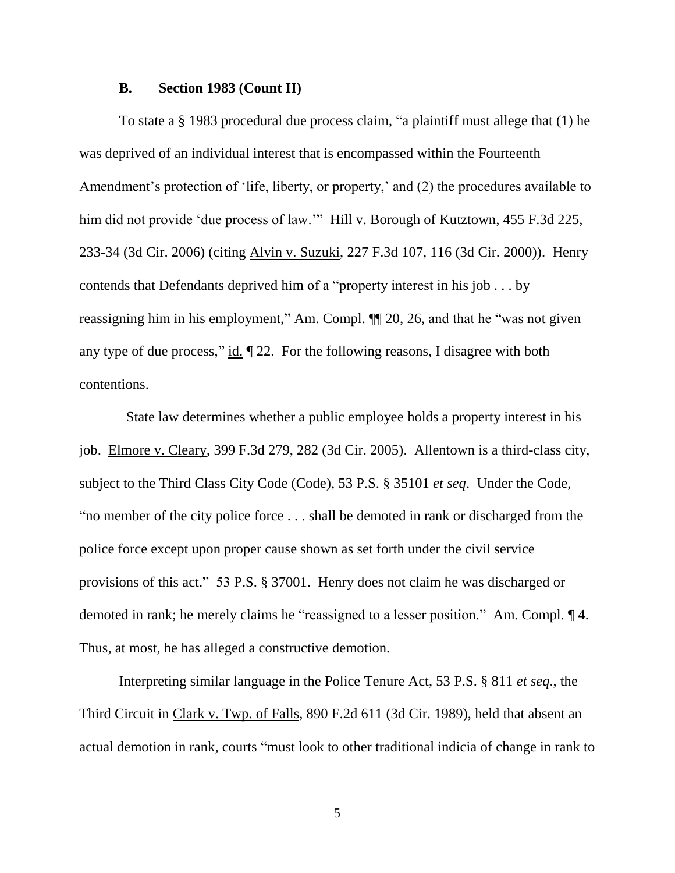#### **B. Section 1983 (Count II)**

To state a § 1983 procedural due process claim, "a plaintiff must allege that (1) he was deprived of an individual interest that is encompassed within the Fourteenth Amendment's protection of 'life, liberty, or property,' and (2) the procedures available to him did not provide 'due process of law.'" Hill v. Borough of Kutztown, 455 F.3d 225, 233-34 (3d Cir. 2006) (citing Alvin v. Suzuki, 227 F.3d 107, 116 (3d Cir. 2000)). Henry contends that Defendants deprived him of a "property interest in his job . . . by reassigning him in his employment," Am. Compl. ¶¶ 20, 26, and that he "was not given any type of due process," id. ¶ 22. For the following reasons, I disagree with both contentions.

 State law determines whether a public employee holds a property interest in his job. Elmore v. Cleary, 399 F.3d 279, 282 (3d Cir. 2005). Allentown is a third-class city, subject to the Third Class City Code (Code), 53 P.S. § 35101 *et seq*. Under the Code, "no member of the city police force . . . shall be demoted in rank or discharged from the police force except upon proper cause shown as set forth under the civil service provisions of this act." 53 P.S. § 37001. Henry does not claim he was discharged or demoted in rank; he merely claims he "reassigned to a lesser position." Am. Compl. ¶ 4. Thus, at most, he has alleged a constructive demotion.

Interpreting similar language in the Police Tenure Act, 53 P.S. § 811 *et seq*., the Third Circuit in Clark v. Twp. of Falls, 890 F.2d 611 (3d Cir. 1989), held that absent an actual demotion in rank, courts "must look to other traditional indicia of change in rank to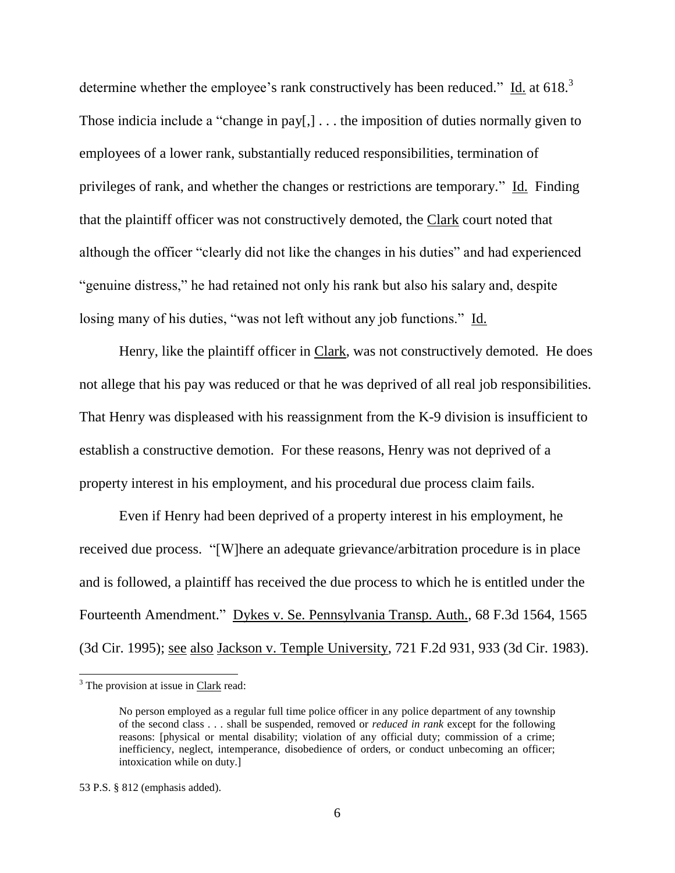determine whether the employee's rank constructively has been reduced." Id. at 618.<sup>3</sup> Those indicia include a "change in pay[,] . . . the imposition of duties normally given to employees of a lower rank, substantially reduced responsibilities, termination of privileges of rank, and whether the changes or restrictions are temporary." Id. Finding that the plaintiff officer was not constructively demoted, the Clark court noted that although the officer "clearly did not like the changes in his duties" and had experienced "genuine distress," he had retained not only his rank but also his salary and, despite losing many of his duties, "was not left without any job functions." Id.

Henry, like the plaintiff officer in Clark, was not constructively demoted. He does not allege that his pay was reduced or that he was deprived of all real job responsibilities. That Henry was displeased with his reassignment from the K-9 division is insufficient to establish a constructive demotion. For these reasons, Henry was not deprived of a property interest in his employment, and his procedural due process claim fails.

Even if Henry had been deprived of a property interest in his employment, he received due process. "[W]here an adequate grievance/arbitration procedure is in place and is followed, a plaintiff has received the due process to which he is entitled under the Fourteenth Amendment." Dykes v. Se. Pennsylvania Transp. Auth., 68 F.3d 1564, 1565 (3d Cir. 1995); see also Jackson v. Temple University, 721 F.2d 931, 933 (3d Cir. 1983).

l

 $3$  The provision at issue in Clark read:

No person employed as a regular full time police officer in any police department of any township of the second class . . . shall be suspended, removed or *reduced in rank* except for the following reasons: [physical or mental disability; violation of any official duty; commission of a crime; inefficiency, neglect, intemperance, disobedience of orders, or conduct unbecoming an officer; intoxication while on duty.]

<sup>53</sup> P.S. § 812 (emphasis added).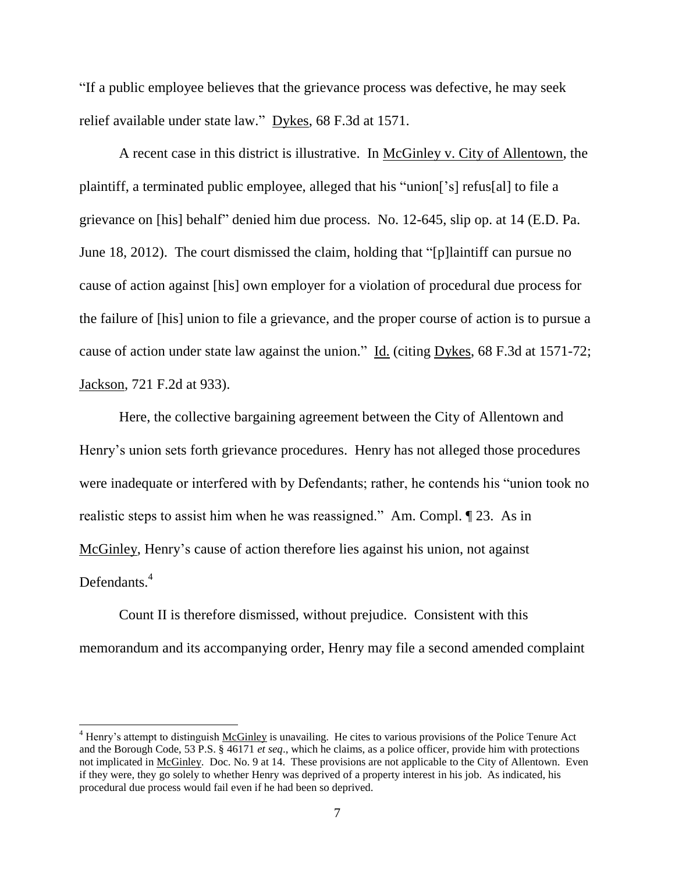"If a public employee believes that the grievance process was defective, he may seek relief available under state law." Dykes, 68 F.3d at 1571.

A recent case in this district is illustrative. In McGinley v. City of Allentown, the plaintiff, a terminated public employee, alleged that his "union['s] refus[al] to file a grievance on [his] behalf" denied him due process. No. 12-645, slip op. at 14 (E.D. Pa. June 18, 2012). The court dismissed the claim, holding that "[p]laintiff can pursue no cause of action against [his] own employer for a violation of procedural due process for the failure of [his] union to file a grievance, and the proper course of action is to pursue a cause of action under state law against the union." Id. (citing Dykes, 68 F.3d at 1571-72; Jackson, 721 F.2d at 933).

Here, the collective bargaining agreement between the City of Allentown and Henry's union sets forth grievance procedures. Henry has not alleged those procedures were inadequate or interfered with by Defendants; rather, he contends his "union took no realistic steps to assist him when he was reassigned." Am. Compl. ¶ 23. As in McGinley, Henry's cause of action therefore lies against his union, not against Defendants.<sup>4</sup>

Count II is therefore dismissed, without prejudice. Consistent with this memorandum and its accompanying order, Henry may file a second amended complaint

 $\overline{a}$ 

<sup>4</sup> Henry's attempt to distinguish McGinley is unavailing. He cites to various provisions of the Police Tenure Act and the Borough Code, 53 P.S. § 46171 *et seq*., which he claims, as a police officer, provide him with protections not implicated in McGinley. Doc. No. 9 at 14. These provisions are not applicable to the City of Allentown. Even if they were, they go solely to whether Henry was deprived of a property interest in his job. As indicated, his procedural due process would fail even if he had been so deprived.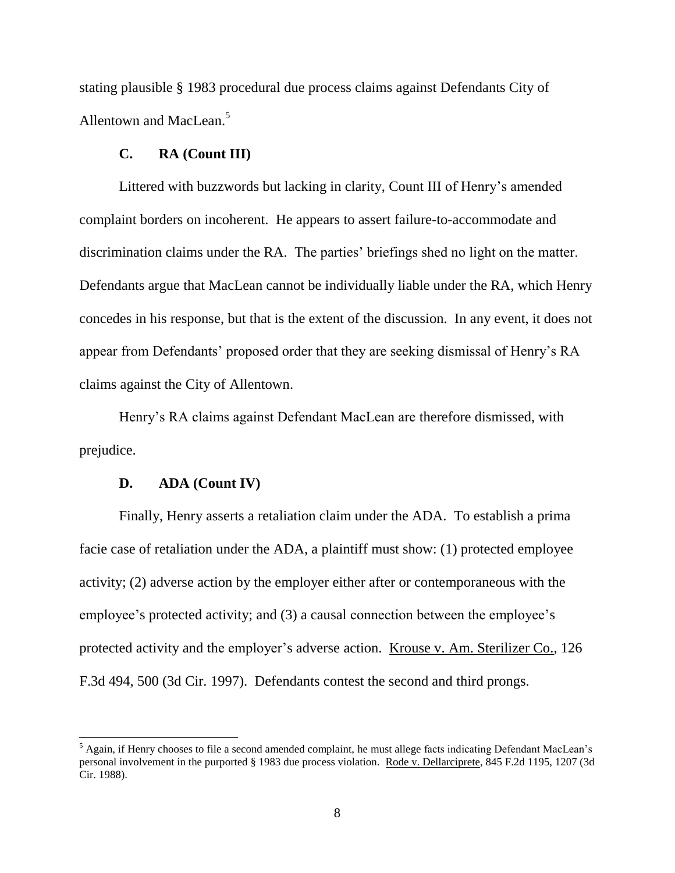stating plausible § 1983 procedural due process claims against Defendants City of Allentown and MacLean.<sup>5</sup>

#### **C. RA (Count III)**

Littered with buzzwords but lacking in clarity, Count III of Henry's amended complaint borders on incoherent. He appears to assert failure-to-accommodate and discrimination claims under the RA. The parties' briefings shed no light on the matter. Defendants argue that MacLean cannot be individually liable under the RA, which Henry concedes in his response, but that is the extent of the discussion. In any event, it does not appear from Defendants' proposed order that they are seeking dismissal of Henry's RA claims against the City of Allentown.

Henry's RA claims against Defendant MacLean are therefore dismissed, with prejudice.

#### **D. ADA (Count IV)**

 $\overline{a}$ 

Finally, Henry asserts a retaliation claim under the ADA. To establish a prima facie case of retaliation under the ADA, a plaintiff must show: (1) protected employee activity; (2) adverse action by the employer either after or contemporaneous with the employee's protected activity; and (3) a causal connection between the employee's protected activity and the employer's adverse action. <u>Krouse v. Am. Sterilizer Co.</u>, 126 F.3d 494, 500 (3d Cir. 1997). Defendants contest the second and third prongs.

 $<sup>5</sup>$  Again, if Henry chooses to file a second amended complaint, he must allege facts indicating Defendant MacLean's</sup> personal involvement in the purported § 1983 due process violation. Rode v. Dellarciprete, 845 F.2d 1195, 1207 (3d Cir. 1988).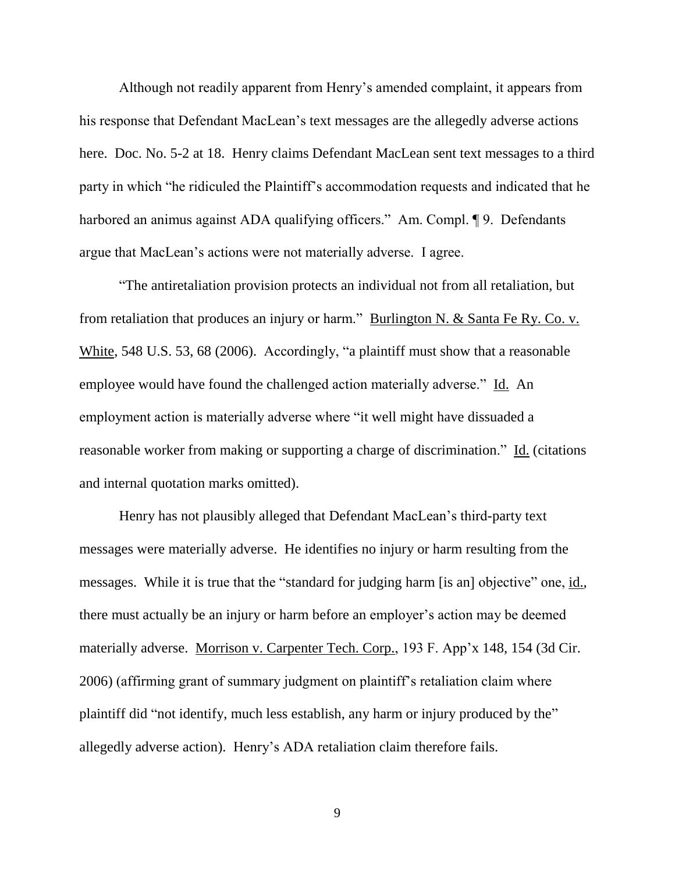Although not readily apparent from Henry's amended complaint, it appears from his response that Defendant MacLean's text messages are the allegedly adverse actions here. Doc. No. 5-2 at 18. Henry claims Defendant MacLean sent text messages to a third party in which "he ridiculed the Plaintiff's accommodation requests and indicated that he harbored an animus against ADA qualifying officers." Am. Compl. 19. Defendants argue that MacLean's actions were not materially adverse. I agree.

"The antiretaliation provision protects an individual not from all retaliation, but from retaliation that produces an injury or harm." Burlington N. & Santa Fe Ry. Co. v. White, 548 U.S. 53, 68 (2006). Accordingly, "a plaintiff must show that a reasonable employee would have found the challenged action materially adverse." Id. An employment action is materially adverse where "it well might have dissuaded a reasonable worker from making or supporting a charge of discrimination." Id. (citations and internal quotation marks omitted).

Henry has not plausibly alleged that Defendant MacLean's third-party text messages were materially adverse. He identifies no injury or harm resulting from the messages. While it is true that the "standard for judging harm [is an] objective" one, id., there must actually be an injury or harm before an employer's action may be deemed materially adverse. Morrison v. Carpenter Tech. Corp., 193 F. App'x 148, 154 (3d Cir. 2006) (affirming grant of summary judgment on plaintiff's retaliation claim where plaintiff did "not identify, much less establish, any harm or injury produced by the" allegedly adverse action). Henry's ADA retaliation claim therefore fails.

9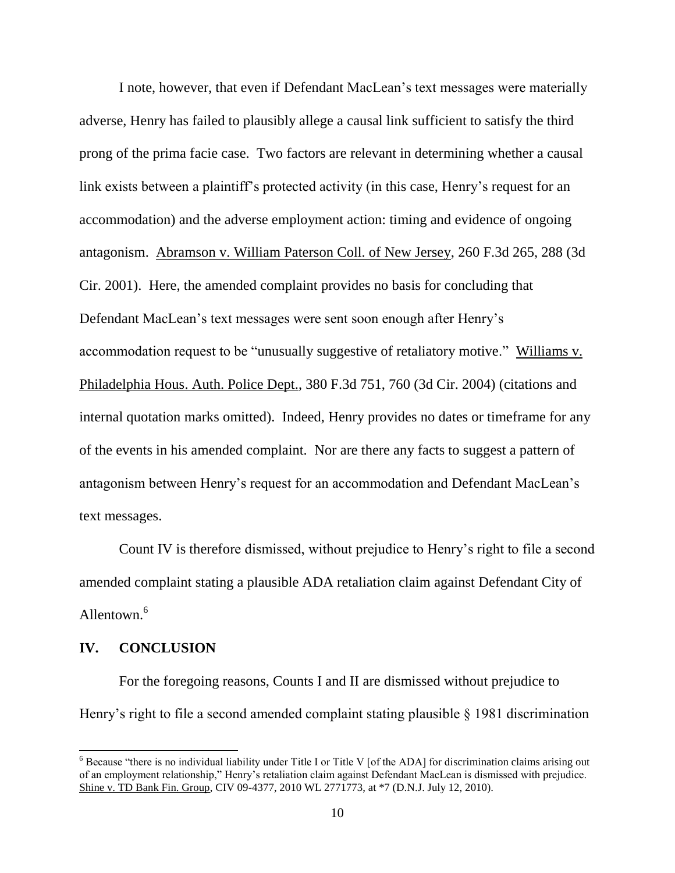I note, however, that even if Defendant MacLean's text messages were materially adverse, Henry has failed to plausibly allege a causal link sufficient to satisfy the third prong of the prima facie case. Two factors are relevant in determining whether a causal link exists between a plaintiff's protected activity (in this case, Henry's request for an accommodation) and the adverse employment action: timing and evidence of ongoing antagonism. Abramson v. William Paterson Coll. of New Jersey, 260 F.3d 265, 288 (3d Cir. 2001). Here, the amended complaint provides no basis for concluding that Defendant MacLean's text messages were sent soon enough after Henry's accommodation request to be "unusually suggestive of retaliatory motive." Williams v. Philadelphia Hous. Auth. Police Dept., 380 F.3d 751, 760 (3d Cir. 2004) (citations and internal quotation marks omitted). Indeed, Henry provides no dates or timeframe for any of the events in his amended complaint. Nor are there any facts to suggest a pattern of antagonism between Henry's request for an accommodation and Defendant MacLean's text messages.

Count IV is therefore dismissed, without prejudice to Henry's right to file a second amended complaint stating a plausible ADA retaliation claim against Defendant City of Allentown. 6

## **IV. CONCLUSION**

l

For the foregoing reasons, Counts I and II are dismissed without prejudice to Henry's right to file a second amended complaint stating plausible § 1981 discrimination

 $6$  Because "there is no individual liability under Title I or Title V [of the ADA] for discrimination claims arising out of an employment relationship," Henry's retaliation claim against Defendant MacLean is dismissed with prejudice. Shine v. TD Bank Fin. Group, CIV 09-4377, 2010 WL 2771773, at \*7 (D.N.J. July 12, 2010).